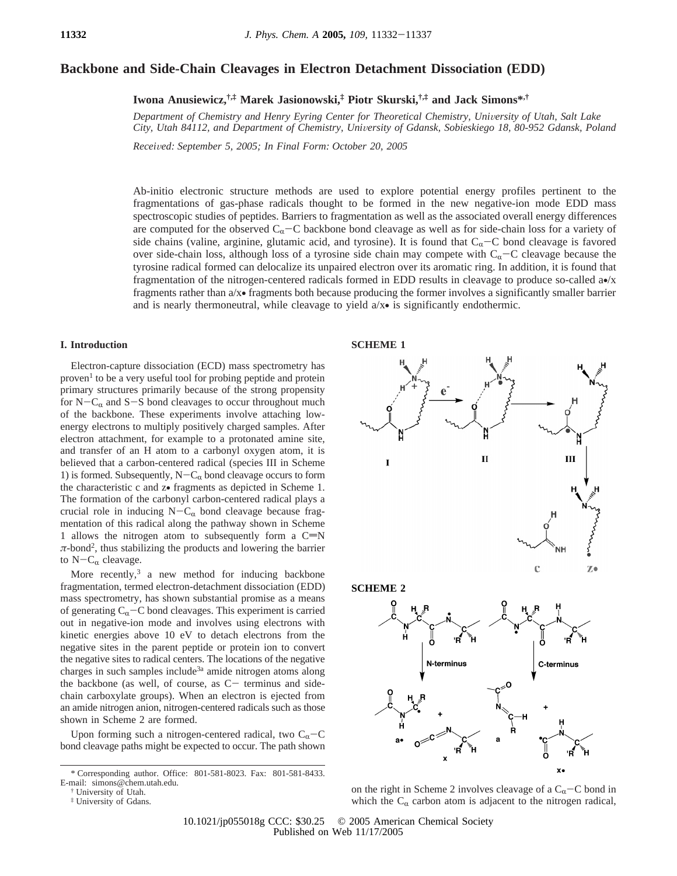# **Backbone and Side-Chain Cleavages in Electron Detachment Dissociation (EDD)**

**Iwona Anusiewicz,†,‡ Marek Jasionowski,‡ Piotr Skurski,†,‡ and Jack Simons\*,†**

*Department of Chemistry and Henry Eyring Center for Theoretical Chemistry, University of Utah, Salt Lake City, Utah 84112, and Department of Chemistry, University of Gdansk, Sobieskiego 18, 80-952 Gdansk, Poland* 

*Recei*V*ed: September 5, 2005; In Final Form: October 20, 2005*

Ab-initio electronic structure methods are used to explore potential energy profiles pertinent to the fragmentations of gas-phase radicals thought to be formed in the new negative-ion mode EDD mass spectroscopic studies of peptides. Barriers to fragmentation as well as the associated overall energy differences are computed for the observed  $C_\alpha$ -C backbone bond cleavage as well as for side-chain loss for a variety of side chains (valine, arginine, glutamic acid, and tyrosine). It is found that  $C_{\alpha}-C$  bond cleavage is favored over side-chain loss, although loss of a tyrosine side chain may compete with  $C_{\alpha}-C$  cleavage because the tyrosine radical formed can delocalize its unpaired electron over its aromatic ring. In addition, it is found that fragmentation of the nitrogen-centered radicals formed in EDD results in cleavage to produce so-called a•/x fragments rather than a/x• fragments both because producing the former involves a significantly smaller barrier and is nearly thermoneutral, while cleavage to yield  $a/x \cdot$  is significantly endothermic.

# **I. Introduction**

Electron-capture dissociation (ECD) mass spectrometry has  $proven<sup>1</sup>$  to be a very useful tool for probing peptide and protein primary structures primarily because of the strong propensity for  $N-C_\alpha$  and  $S-S$  bond cleavages to occur throughout much of the backbone. These experiments involve attaching lowenergy electrons to multiply positively charged samples. After electron attachment, for example to a protonated amine site, and transfer of an H atom to a carbonyl oxygen atom, it is believed that a carbon-centered radical (species III in Scheme 1) is formed. Subsequently,  $N-C_{\alpha}$  bond cleavage occurs to form the characteristic c and z• fragments as depicted in Scheme 1. The formation of the carbonyl carbon-centered radical plays a crucial role in inducing  $N-C_{\alpha}$  bond cleavage because fragmentation of this radical along the pathway shown in Scheme 1 allows the nitrogen atom to subsequently form a  $C=N$  $\pi$ -bond<sup>2</sup>, thus stabilizing the products and lowering the barrier to  $N-C_{\alpha}$  cleavage.

More recently, $3$  a new method for inducing backbone fragmentation, termed electron-detachment dissociation (EDD) mass spectrometry, has shown substantial promise as a means of generating  $C_{\alpha}$ –C bond cleavages. This experiment is carried out in negative-ion mode and involves using electrons with kinetic energies above 10 eV to detach electrons from the negative sites in the parent peptide or protein ion to convert the negative sites to radical centers. The locations of the negative charges in such samples include<sup>3a</sup> amide nitrogen atoms along the backbone (as well, of course, as  $C-$  terminus and sidechain carboxylate groups). When an electron is ejected from an amide nitrogen anion, nitrogen-centered radicals such as those shown in Scheme 2 are formed.

Upon forming such a nitrogen-centered radical, two  $C_{\alpha}-C$ bond cleavage paths might be expected to occur. The path shown





 $\Omega$ 

 $\mathbf{x}$ 

10.1021/jp055018g CCC: \$30.25 © 2005 American Chemical Society Published on Web 11/17/2005

<sup>\*</sup> Corresponding author. Office: 801-581-8023. Fax: 801-581-8433. E-mail: simons@chem.utah.edu.

<sup>†</sup> University of Utah.

<sup>‡</sup> University of Gdans.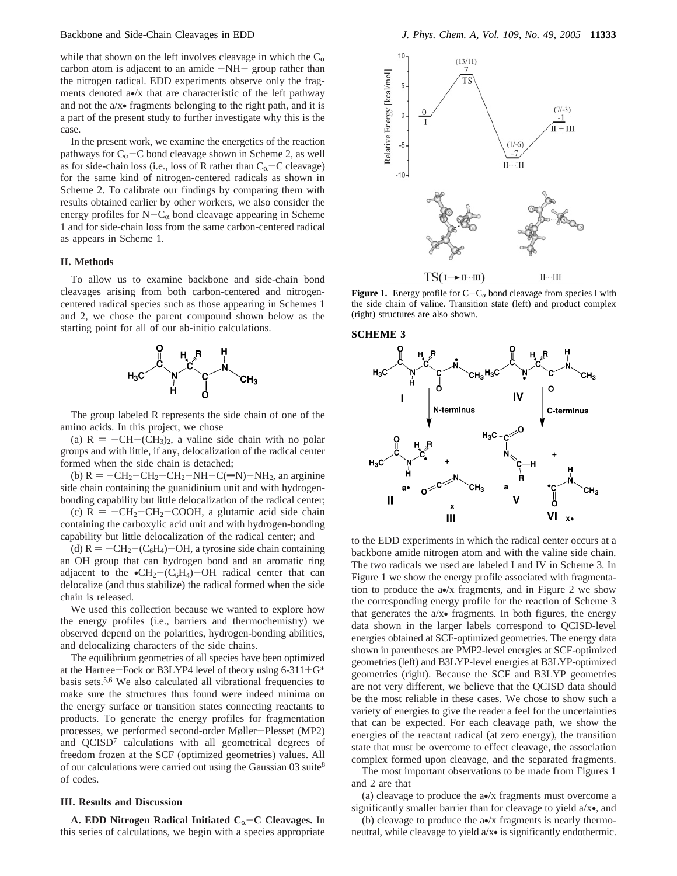while that shown on the left involves cleavage in which the  $C_\alpha$ carbon atom is adjacent to an amide  $-NH-$  group rather than the nitrogen radical. EDD experiments observe only the fragments denoted a•/x that are characteristic of the left pathway and not the a/x• fragments belonging to the right path, and it is a part of the present study to further investigate why this is the case.

In the present work, we examine the energetics of the reaction pathways for  $C_{\alpha}$ -C bond cleavage shown in Scheme 2, as well as for side-chain loss (i.e., loss of R rather than  $C_{\alpha}$ -C cleavage) for the same kind of nitrogen-centered radicals as shown in Scheme 2. To calibrate our findings by comparing them with results obtained earlier by other workers, we also consider the energy profiles for  $N-C_{\alpha}$  bond cleavage appearing in Scheme 1 and for side-chain loss from the same carbon-centered radical as appears in Scheme 1.

### **II. Methods**

To allow us to examine backbone and side-chain bond cleavages arising from both carbon-centered and nitrogencentered radical species such as those appearing in Schemes 1 and 2, we chose the parent compound shown below as the starting point for all of our ab-initio calculations.



The group labeled R represents the side chain of one of the amino acids. In this project, we chose

(a)  $R = -CH-(CH<sub>3</sub>)<sub>2</sub>$ , a valine side chain with no polar groups and with little, if any, delocalization of the radical center formed when the side chain is detached;

(b)  $R = -CH_2-CH_2-CH_2-NH-C(=N)-NH_2$ , an arginine side chain containing the guanidinium unit and with hydrogenbonding capability but little delocalization of the radical center;

(c)  $R = -CH_2-CH_2-COOH$ , a glutamic acid side chain containing the carboxylic acid unit and with hydrogen-bonding capability but little delocalization of the radical center; and

(d)  $R = -CH_2 - (C_6H_4) - OH$ , a tyrosine side chain containing an OH group that can hydrogen bond and an aromatic ring adjacent to the  $\bullet CH_2-C_6H_4$ )-OH radical center that can delocalize (and thus stabilize) the radical formed when the side chain is released.

We used this collection because we wanted to explore how the energy profiles (i.e., barriers and thermochemistry) we observed depend on the polarities, hydrogen-bonding abilities, and delocalizing characters of the side chains.

The equilibrium geometries of all species have been optimized at the Hartree-Fock or B3LYP4 level of theory using 6-311+G\* basis sets.<sup>5,6</sup> We also calculated all vibrational frequencies to make sure the structures thus found were indeed minima on the energy surface or transition states connecting reactants to products. To generate the energy profiles for fragmentation processes, we performed second-order Møller-Plesset (MP2) and QCISD<sup>7</sup> calculations with all geometrical degrees of freedom frozen at the SCF (optimized geometries) values. All of our calculations were carried out using the Gaussian 03 suite<sup>8</sup> of codes.

## **III. Results and Discussion**

**A. EDD Nitrogen Radical Initiated C<sub>α</sub>-C Cleavages.** In this series of calculations, we begin with a species appropriate



**Figure 1.** Energy profile for  $C - C_{\alpha}$  bond cleavage from species I with the side chain of valine. Transition state (left) and product complex (right) structures are also shown.





to the EDD experiments in which the radical center occurs at a backbone amide nitrogen atom and with the valine side chain. The two radicals we used are labeled I and IV in Scheme 3. In Figure 1 we show the energy profile associated with fragmentation to produce the a•/x fragments, and in Figure 2 we show the corresponding energy profile for the reaction of Scheme 3 that generates the a/x• fragments. In both figures, the energy data shown in the larger labels correspond to QCISD-level energies obtained at SCF-optimized geometries. The energy data shown in parentheses are PMP2-level energies at SCF-optimized geometries (left) and B3LYP-level energies at B3LYP-optimized geometries (right). Because the SCF and B3LYP geometries are not very different, we believe that the QCISD data should be the most reliable in these cases. We chose to show such a variety of energies to give the reader a feel for the uncertainties that can be expected. For each cleavage path, we show the energies of the reactant radical (at zero energy), the transition state that must be overcome to effect cleavage, the association complex formed upon cleavage, and the separated fragments.

The most important observations to be made from Figures 1 and 2 are that

(a) cleavage to produce the a•/x fragments must overcome a significantly smaller barrier than for cleavage to yield a/x•, and

(b) cleavage to produce the a•/x fragments is nearly thermoneutral, while cleavage to yield a/x• is significantly endothermic.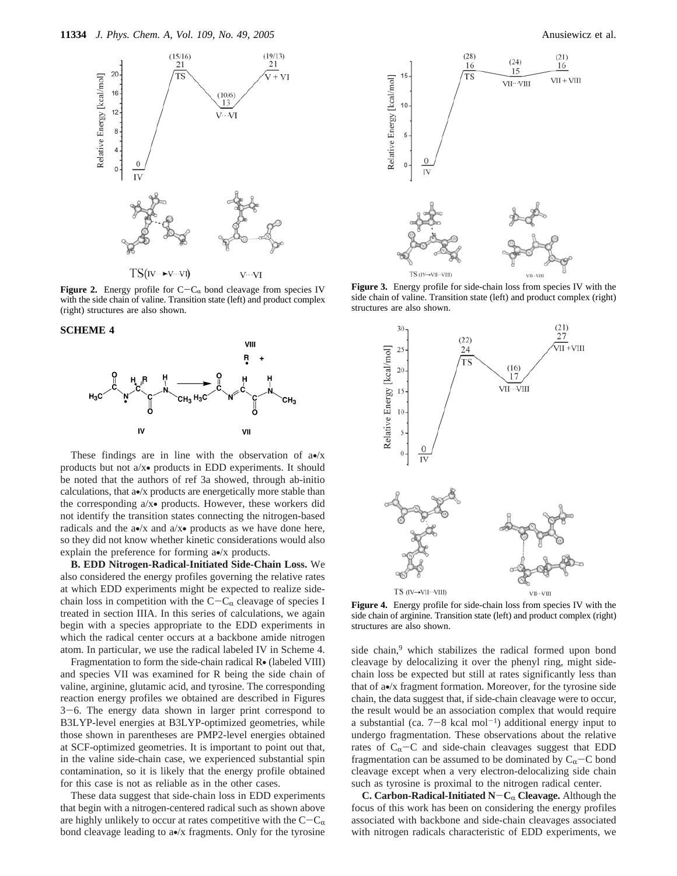

**Figure 2.** Energy profile for  $C - C_{\alpha}$  bond cleavage from species IV with the side chain of valine. Transition state (left) and product complex (right) structures are also shown.

**SCHEME 4**



These findings are in line with the observation of  $a\bullet/x$ products but not a/x• products in EDD experiments. It should be noted that the authors of ref 3a showed, through ab-initio calculations, that a•/x products are energetically more stable than the corresponding a/x• products. However, these workers did not identify the transition states connecting the nitrogen-based radicals and the  $a\bullet/x$  and  $a/x\bullet$  products as we have done here, so they did not know whether kinetic considerations would also explain the preference for forming a•/x products.

**B. EDD Nitrogen-Radical-Initiated Side-Chain Loss.** We also considered the energy profiles governing the relative rates at which EDD experiments might be expected to realize sidechain loss in competition with the  $C-C_{\alpha}$  cleavage of species I treated in section IIIA. In this series of calculations, we again begin with a species appropriate to the EDD experiments in which the radical center occurs at a backbone amide nitrogen atom. In particular, we use the radical labeled IV in Scheme 4.

Fragmentation to form the side-chain radical R• (labeled VIII) and species VII was examined for R being the side chain of valine, arginine, glutamic acid, and tyrosine. The corresponding reaction energy profiles we obtained are described in Figures <sup>3</sup>-6. The energy data shown in larger print correspond to B3LYP-level energies at B3LYP-optimized geometries, while those shown in parentheses are PMP2-level energies obtained at SCF-optimized geometries. It is important to point out that, in the valine side-chain case, we experienced substantial spin contamination, so it is likely that the energy profile obtained for this case is not as reliable as in the other cases.

These data suggest that side-chain loss in EDD experiments that begin with a nitrogen-centered radical such as shown above are highly unlikely to occur at rates competitive with the  $C-C_{\alpha}$ bond cleavage leading to a•/x fragments. Only for the tyrosine



**Figure 3.** Energy profile for side-chain loss from species IV with the side chain of valine. Transition state (left) and product complex (right) structures are also shown.



**Figure 4.** Energy profile for side-chain loss from species IV with the side chain of arginine. Transition state (left) and product complex (right) structures are also shown.

side chain,<sup>9</sup> which stabilizes the radical formed upon bond cleavage by delocalizing it over the phenyl ring, might sidechain loss be expected but still at rates significantly less than that of a•/x fragment formation. Moreover, for the tyrosine side chain, the data suggest that, if side-chain cleavage were to occur, the result would be an association complex that would require a substantial (ca.  $7-8$  kcal mol<sup>-1</sup>) additional energy input to undergo fragmentation. These observations about the relative rates of  $C_{\alpha}-C$  and side-chain cleavages suggest that EDD fragmentation can be assumed to be dominated by  $C_{\alpha}-C$  bond cleavage except when a very electron-delocalizing side chain such as tyrosine is proximal to the nitrogen radical center.

**C. Carbon-Radical-Initiated**  $N - C_{\alpha}$  **<b>Cleavage.** Although the focus of this work has been on considering the energy profiles associated with backbone and side-chain cleavages associated with nitrogen radicals characteristic of EDD experiments, we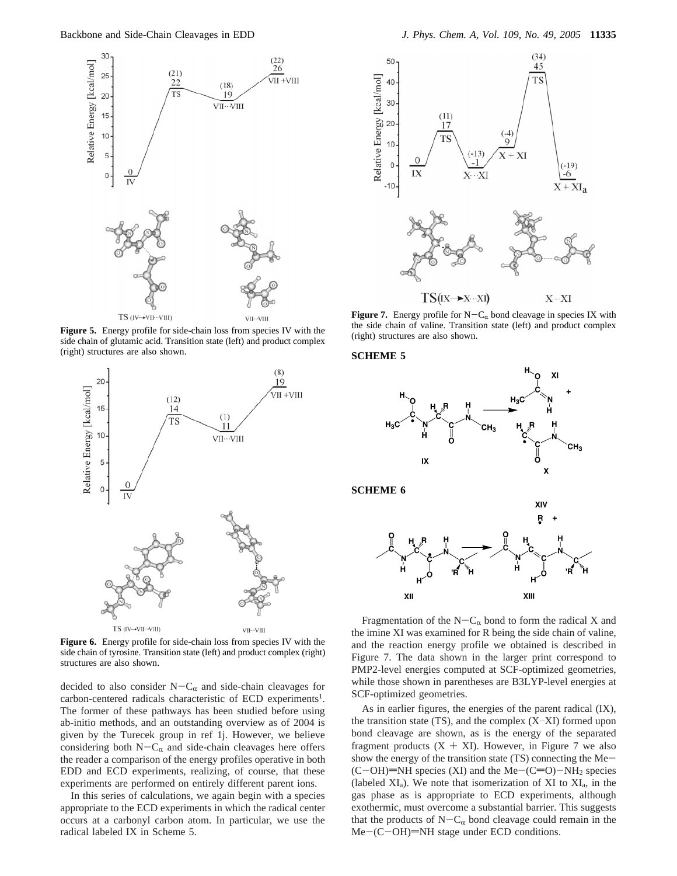

**Figure 5.** Energy profile for side-chain loss from species IV with the side chain of glutamic acid. Transition state (left) and product complex (right) structures are also shown.



Figure 6. Energy profile for side-chain loss from species IV with the side chain of tyrosine. Transition state (left) and product complex (right) structures are also shown.

decided to also consider  $N-C_{\alpha}$  and side-chain cleavages for carbon-centered radicals characteristic of ECD experiments<sup>1</sup>. The former of these pathways has been studied before using ab-initio methods, and an outstanding overview as of 2004 is given by the Turecek group in ref 1j. However, we believe considering both  $N-C_{\alpha}$  and side-chain cleavages here offers the reader a comparison of the energy profiles operative in both EDD and ECD experiments, realizing, of course, that these experiments are performed on entirely different parent ions.

In this series of calculations, we again begin with a species appropriate to the ECD experiments in which the radical center occurs at a carbonyl carbon atom. In particular, we use the radical labeled IX in Scheme 5.



**Figure 7.** Energy profile for  $N - C_{\alpha}$  bond cleavage in species IX with the side chain of valine. Transition state (left) and product complex (right) structures are also shown.

#### **SCHEME 5**



Fragmentation of the  $N-C_{\alpha}$  bond to form the radical X and the imine XI was examined for R being the side chain of valine, and the reaction energy profile we obtained is described in Figure 7. The data shown in the larger print correspond to PMP2-level energies computed at SCF-optimized geometries, while those shown in parentheses are B3LYP-level energies at SCF-optimized geometries.

As in earlier figures, the energies of the parent radical (IX), the transition state  $(TS)$ , and the complex  $(X \cdot X)$  formed upon bond cleavage are shown, as is the energy of the separated fragment products  $(X + XI)$ . However, in Figure 7 we also show the energy of the transition state (TS) connecting the Me-  $(C-OH)$ =NH species (XI) and the Me- $(C=O)$ -NH<sub>2</sub> species (labeled  $XI_a$ ). We note that isomerization of XI to  $XI_a$ , in the gas phase as is appropriate to ECD experiments, although exothermic, must overcome a substantial barrier. This suggests that the products of  $N-C_{\alpha}$  bond cleavage could remain in the  $Me-(C-OH)=NH$  stage under ECD conditions.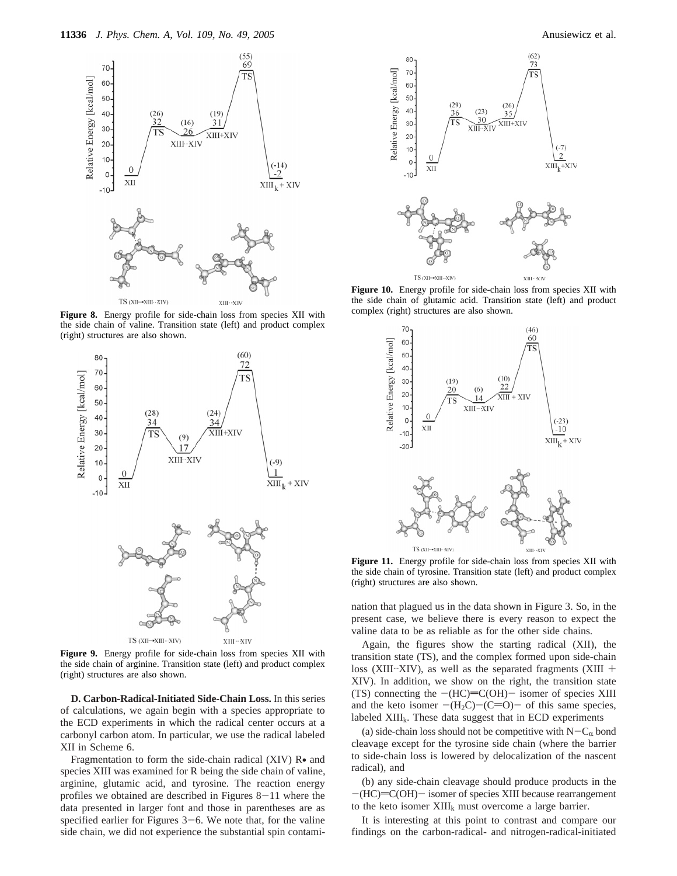

**Figure 8.** Energy profile for side-chain loss from species XII with the side chain of valine. Transition state (left) and product complex (right) structures are also shown.



**Figure 9.** Energy profile for side-chain loss from species XII with the side chain of arginine. Transition state (left) and product complex (right) structures are also shown.

**D. Carbon-Radical-Initiated Side-Chain Loss.** In this series of calculations, we again begin with a species appropriate to the ECD experiments in which the radical center occurs at a carbonyl carbon atom. In particular, we use the radical labeled XII in Scheme 6.

Fragmentation to form the side-chain radical (XIV) R• and species XIII was examined for R being the side chain of valine, arginine, glutamic acid, and tyrosine. The reaction energy profiles we obtained are described in Figures  $8-11$  where the data presented in larger font and those in parentheses are as specified earlier for Figures  $3-6$ . We note that, for the valine side chain, we did not experience the substantial spin contami-



**Figure 10.** Energy profile for side-chain loss from species XII with the side chain of glutamic acid. Transition state (left) and product complex (right) structures are also shown.



Figure 11. Energy profile for side-chain loss from species XII with the side chain of tyrosine. Transition state (left) and product complex (right) structures are also shown.

nation that plagued us in the data shown in Figure 3. So, in the present case, we believe there is every reason to expect the valine data to be as reliable as for the other side chains.

Again, the figures show the starting radical (XII), the transition state (TS), and the complex formed upon side-chain loss (XIII...XIV), as well as the separated fragments (XIII + XIV). In addition, we show on the right, the transition state (TS) connecting the  $-(HC)=C(OH)-$  isomer of species XIII and the keto isomer  $-(H_2C)-(C=O)$ - of this same species, labeled XIII<sub>k</sub>. These data suggest that in ECD experiments

(a) side-chain loss should not be competitive with  $N-C_{\alpha}$  bond cleavage except for the tyrosine side chain (where the barrier to side-chain loss is lowered by delocalization of the nascent radical), and

(b) any side-chain cleavage should produce products in the  $-(HC)$ = $C(OH)$ - isomer of species XIII because rearrangement to the keto isomer  $XIII_k$  must overcome a large barrier.

It is interesting at this point to contrast and compare our findings on the carbon-radical- and nitrogen-radical-initiated